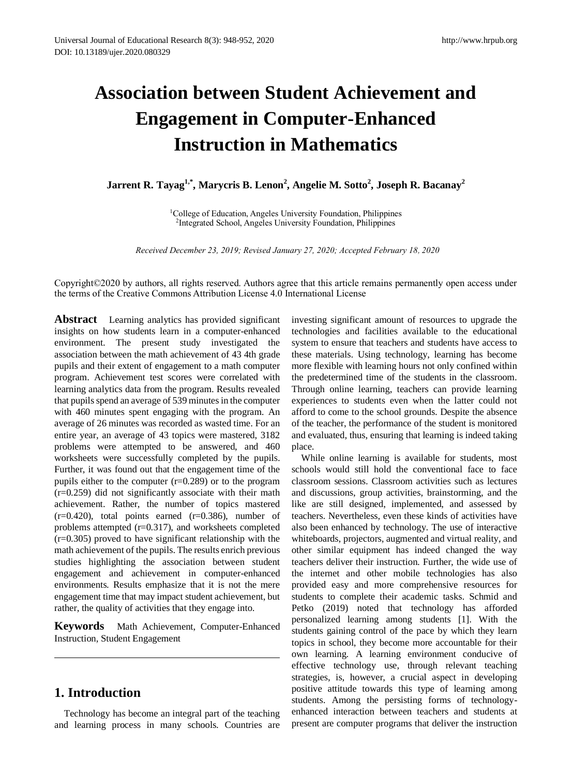# **Association between Student Achievement and Engagement in Computer-Enhanced Instruction in Mathematics**

**Jarrent R. Tayag1,\* , Marycris B. Lenon<sup>2</sup> , Angelie M. Sotto<sup>2</sup> , Joseph R. Bacanay<sup>2</sup>**

<sup>1</sup>College of Education, Angeles University Foundation, Philippines 2 Integrated School, Angeles University Foundation, Philippines

*Received December 23, 2019; Revised January 27, 2020; Accepted February 18*, *2020*

Copyright©2020 by authors, all rights reserved. Authors agree that this article remains permanently open access under the terms of the Creative Commons Attribution License 4.0 International License

**Abstract** Learning analytics has provided significant insights on how students learn in a computer-enhanced environment. The present study investigated the association between the math achievement of 43 4th grade pupils and their extent of engagement to a math computer program. Achievement test scores were correlated with learning analytics data from the program. Results revealed that pupils spend an average of 539 minutes in the computer with 460 minutes spent engaging with the program. An average of 26 minutes was recorded as wasted time. For an entire year, an average of 43 topics were mastered, 3182 problems were attempted to be answered, and 460 worksheets were successfully completed by the pupils. Further, it was found out that the engagement time of the pupils either to the computer (r=0.289) or to the program (r=0.259) did not significantly associate with their math achievement. Rather, the number of topics mastered  $(r=0.420)$ , total points earned  $(r=0.386)$ , number of problems attempted (r=0.317), and worksheets completed (r=0.305) proved to have significant relationship with the math achievement of the pupils. The results enrich previous studies highlighting the association between student engagement and achievement in computer-enhanced environments. Results emphasize that it is not the mere engagement time that may impact student achievement, but rather, the quality of activities that they engage into.

**Keywords** Math Achievement, Computer-Enhanced Instruction, Student Engagement

# **1. Introduction**

Technology has become an integral part of the teaching and learning process in many schools. Countries are investing significant amount of resources to upgrade the technologies and facilities available to the educational system to ensure that teachers and students have access to these materials. Using technology, learning has become more flexible with learning hours not only confined within the predetermined time of the students in the classroom. Through online learning, teachers can provide learning experiences to students even when the latter could not afford to come to the school grounds. Despite the absence of the teacher, the performance of the student is monitored and evaluated, thus, ensuring that learning is indeed taking place.

While online learning is available for students, most schools would still hold the conventional face to face classroom sessions. Classroom activities such as lectures and discussions, group activities, brainstorming, and the like are still designed, implemented, and assessed by teachers. Nevertheless, even these kinds of activities have also been enhanced by technology. The use of interactive whiteboards, projectors, augmented and virtual reality, and other similar equipment has indeed changed the way teachers deliver their instruction. Further, the wide use of the internet and other mobile technologies has also provided easy and more comprehensive resources for students to complete their academic tasks. Schmid and Petko (2019) noted that technology has afforded personalized learning among students [1]. With the students gaining control of the pace by which they learn topics in school, they become more accountable for their own learning. A learning environment conducive of effective technology use, through relevant teaching strategies, is, however, a crucial aspect in developing positive attitude towards this type of learning among students. Among the persisting forms of technologyenhanced interaction between teachers and students at present are computer programs that deliver the instruction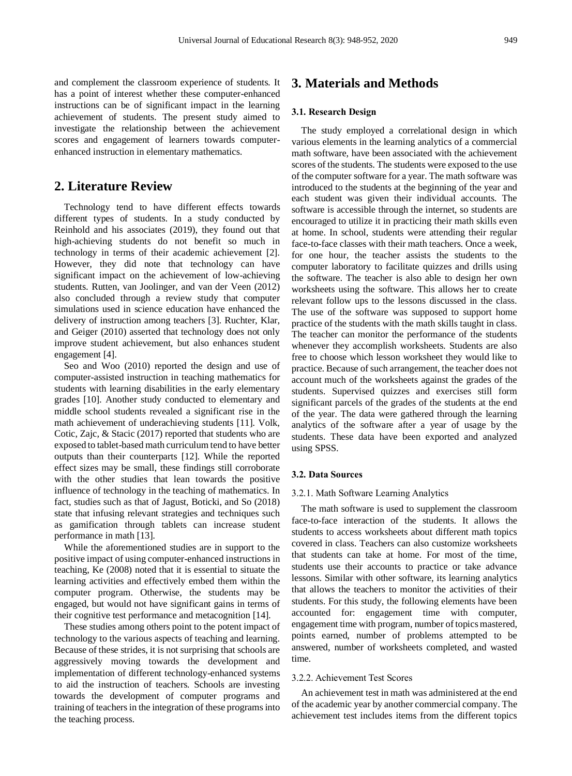and complement the classroom experience of students. It has a point of interest whether these computer-enhanced instructions can be of significant impact in the learning achievement of students. The present study aimed to investigate the relationship between the achievement scores and engagement of learners towards computerenhanced instruction in elementary mathematics.

# **2. Literature Review**

Technology tend to have different effects towards different types of students. In a study conducted by Reinhold and his associates (2019), they found out that high-achieving students do not benefit so much in technology in terms of their academic achievement [2]. However, they did note that technology can have significant impact on the achievement of low-achieving students. Rutten, van Joolinger, and van der Veen (2012) also concluded through a review study that computer simulations used in science education have enhanced the delivery of instruction among teachers [3]. Ruchter, Klar, and Geiger (2010) asserted that technology does not only improve student achievement, but also enhances student engagement [4].

Seo and Woo (2010) reported the design and use of computer-assisted instruction in teaching mathematics for students with learning disabilities in the early elementary grades [10]. Another study conducted to elementary and middle school students revealed a significant rise in the math achievement of underachieving students [11]. Volk, Cotic, Zajc, & Stacic (2017) reported that students who are exposed to tablet-based math curriculum tend to have better outputs than their counterparts [12]. While the reported effect sizes may be small, these findings still corroborate with the other studies that lean towards the positive influence of technology in the teaching of mathematics. In fact, studies such as that of Jagust, Boticki, and So (2018) state that infusing relevant strategies and techniques such as gamification through tablets can increase student performance in math [13].

While the aforementioned studies are in support to the positive impact of using computer-enhanced instructions in teaching, Ke (2008) noted that it is essential to situate the learning activities and effectively embed them within the computer program. Otherwise, the students may be engaged, but would not have significant gains in terms of their cognitive test performance and metacognition [14].

These studies among others point to the potent impact of technology to the various aspects of teaching and learning. Because of these strides, it is not surprising that schools are aggressively moving towards the development and implementation of different technology-enhanced systems to aid the instruction of teachers. Schools are investing towards the development of computer programs and training of teachers in the integration of these programs into the teaching process.

# **3. Materials and Methods**

#### **3.1. Research Design**

The study employed a correlational design in which various elements in the learning analytics of a commercial math software, have been associated with the achievement scores of the students. The students were exposed to the use of the computer software for a year. The math software was introduced to the students at the beginning of the year and each student was given their individual accounts. The software is accessible through the internet, so students are encouraged to utilize it in practicing their math skills even at home. In school, students were attending their regular face-to-face classes with their math teachers. Once a week, for one hour, the teacher assists the students to the computer laboratory to facilitate quizzes and drills using the software. The teacher is also able to design her own worksheets using the software. This allows her to create relevant follow ups to the lessons discussed in the class. The use of the software was supposed to support home practice of the students with the math skills taught in class. The teacher can monitor the performance of the students whenever they accomplish worksheets. Students are also free to choose which lesson worksheet they would like to practice. Because of such arrangement, the teacher does not account much of the worksheets against the grades of the students. Supervised quizzes and exercises still form significant parcels of the grades of the students at the end of the year. The data were gathered through the learning analytics of the software after a year of usage by the students. These data have been exported and analyzed using SPSS.

#### **3.2. Data Sources**

#### 3.2.1. Math Software Learning Analytics

The math software is used to supplement the classroom face-to-face interaction of the students. It allows the students to access worksheets about different math topics covered in class. Teachers can also customize worksheets that students can take at home. For most of the time, students use their accounts to practice or take advance lessons. Similar with other software, its learning analytics that allows the teachers to monitor the activities of their students. For this study, the following elements have been accounted for: engagement time with computer, engagement time with program, number of topics mastered, points earned, number of problems attempted to be answered, number of worksheets completed, and wasted time.

#### 3.2.2. Achievement Test Scores

An achievement test in math was administered at the end of the academic year by another commercial company. The achievement test includes items from the different topics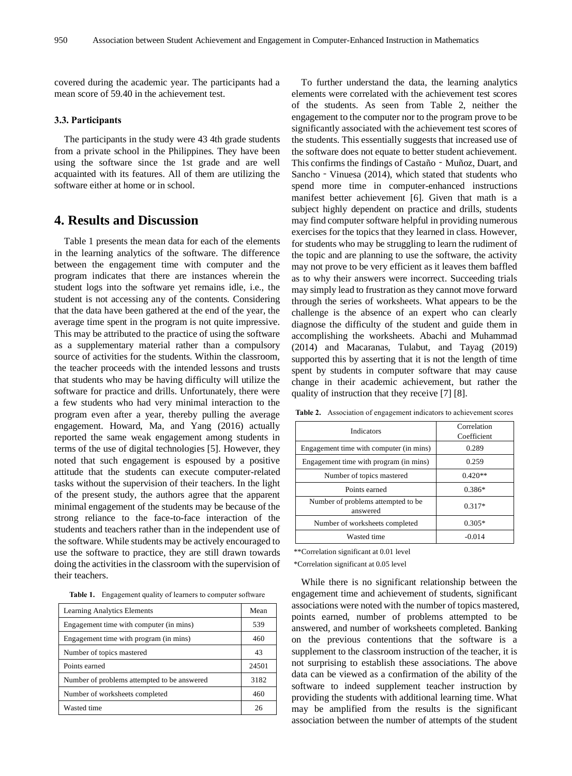covered during the academic year. The participants had a mean score of 59.40 in the achievement test.

#### **3.3. Participants**

The participants in the study were 43 4th grade students from a private school in the Philippines. They have been using the software since the 1st grade and are well acquainted with its features. All of them are utilizing the software either at home or in school.

## **4. Results and Discussion**

Table 1 presents the mean data for each of the elements in the learning analytics of the software. The difference between the engagement time with computer and the program indicates that there are instances wherein the student logs into the software yet remains idle, i.e., the student is not accessing any of the contents. Considering that the data have been gathered at the end of the year, the average time spent in the program is not quite impressive. This may be attributed to the practice of using the software as a supplementary material rather than a compulsory source of activities for the students. Within the classroom, the teacher proceeds with the intended lessons and trusts that students who may be having difficulty will utilize the software for practice and drills. Unfortunately, there were a few students who had very minimal interaction to the program even after a year, thereby pulling the average engagement. Howard, Ma, and Yang (2016) actually reported the same weak engagement among students in terms of the use of digital technologies [5]. However, they noted that such engagement is espoused by a positive attitude that the students can execute computer-related tasks without the supervision of their teachers. In the light of the present study, the authors agree that the apparent minimal engagement of the students may be because of the strong reliance to the face-to-face interaction of the students and teachers rather than in the independent use of the software. While students may be actively encouraged to use the software to practice, they are still drawn towards doing the activities in the classroom with the supervision of their teachers.

**Table 1.** Engagement quality of learners to computer software

| Learning Analytics Elements                 | Mean  |
|---------------------------------------------|-------|
| Engagement time with computer (in mins)     | 539   |
| Engagement time with program (in mins)      | 460   |
| Number of topics mastered                   | 43    |
| Points earned                               | 24501 |
| Number of problems attempted to be answered | 3182  |
| Number of worksheets completed              | 460   |
| Wasted time                                 | 26    |

To further understand the data, the learning analytics elements were correlated with the achievement test scores of the students. As seen from Table 2, neither the engagement to the computer nor to the program prove to be significantly associated with the achievement test scores of the students. This essentially suggests that increased use of the software does not equate to better student achievement. This confirms the findings of Castaño - Muñoz, Duart, and Sancho - Vinuesa (2014), which stated that students who spend more time in computer-enhanced instructions manifest better achievement [6]. Given that math is a subject highly dependent on practice and drills, students may find computer software helpful in providing numerous exercises for the topics that they learned in class. However, for students who may be struggling to learn the rudiment of the topic and are planning to use the software, the activity may not prove to be very efficient as it leaves them baffled as to why their answers were incorrect. Succeeding trials may simply lead to frustration as they cannot move forward through the series of worksheets. What appears to be the challenge is the absence of an expert who can clearly diagnose the difficulty of the student and guide them in accomplishing the worksheets. Abachi and Muhammad (2014) and Macaranas, Tulabut, and Tayag (2019) supported this by asserting that it is not the length of time spent by students in computer software that may cause change in their academic achievement, but rather the quality of instruction that they receive [7] [8].

| Indicators                                     | Correlation<br>Coefficient |
|------------------------------------------------|----------------------------|
| Engagement time with computer (in mins)        | 0.289                      |
| Engagement time with program (in mins)         | 0.259                      |
| Number of topics mastered                      | $0.420**$                  |
| Points earned                                  | $0.386*$                   |
| Number of problems attempted to be<br>answered | $0.317*$                   |
| Number of worksheets completed                 | $0.305*$                   |
| Wasted time                                    | $-0.014$                   |

**Table 2.** Association of engagement indicators to achievement scores

\*\*Correlation significant at 0.01 level

\*Correlation significant at 0.05 level

While there is no significant relationship between the engagement time and achievement of students, significant associations were noted with the number of topics mastered, points earned, number of problems attempted to be answered, and number of worksheets completed. Banking on the previous contentions that the software is a supplement to the classroom instruction of the teacher, it is not surprising to establish these associations. The above data can be viewed as a confirmation of the ability of the software to indeed supplement teacher instruction by providing the students with additional learning time. What may be amplified from the results is the significant association between the number of attempts of the student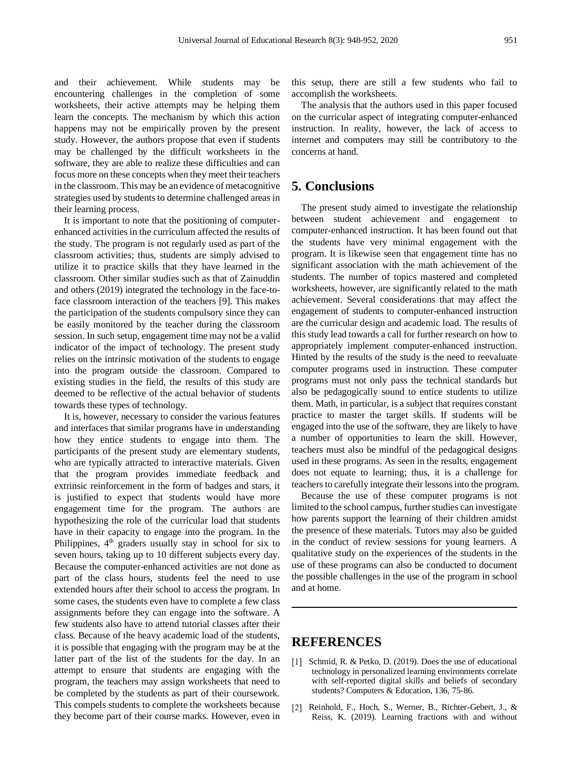and their achievement. While students may be encountering challenges in the completion of some worksheets, their active attempts may be helping them learn the concepts. The mechanism by which this action happens may not be empirically proven by the present study. However, the authors propose that even if students may be challenged by the difficult worksheets in the software, they are able to realize these difficulties and can focus more on these concepts when they meet their teachers in the classroom. This may be an evidence of metacognitive strategies used by students to determine challenged areas in their learning process.

It is important to note that the positioning of computerenhanced activities in the curriculum affected the results of the study. The program is not regularly used as part of the classroom activities; thus, students are simply advised to utilize it to practice skills that they have learned in the classroom. Other similar studies such as that of Zainuddin and others (2019) integrated the technology in the face-toface classroom interaction of the teachers [9]. This makes the participation of the students compulsory since they can be easily monitored by the teacher during the classroom session. In such setup, engagement time may not be a valid indicator of the impact of technology. The present study relies on the intrinsic motivation of the students to engage into the program outside the classroom. Compared to existing studies in the field, the results of this study are deemed to be reflective of the actual behavior of students towards these types of technology.

It is, however, necessary to consider the various features and interfaces that similar programs have in understanding how they entice students to engage into them. The participants of the present study are elementary students, who are typically attracted to interactive materials. Given that the program provides immediate feedback and extrinsic reinforcement in the form of badges and stars, it is justified to expect that students would have more engagement time for the program. The authors are hypothesizing the role of the curricular load that students have in their capacity to engage into the program. In the Philippines,  $4<sup>th</sup>$  graders usually stay in school for six to seven hours, taking up to 10 different subjects every day. Because the computer-enhanced activities are not done as part of the class hours, students feel the need to use extended hours after their school to access the program. In some cases, the students even have to complete a few class assignments before they can engage into the software. A few students also have to attend tutorial classes after their class. Because of the heavy academic load of the students, it is possible that engaging with the program may be at the latter part of the list of the students for the day. In an attempt to ensure that students are engaging with the program, the teachers may assign worksheets that need to be completed by the students as part of their coursework. This compels students to complete the worksheets because they become part of their course marks. However, even in

this setup, there are still a few students who fail to accomplish the worksheets.

The analysis that the authors used in this paper focused on the curricular aspect of integrating computer-enhanced instruction. In reality, however, the lack of access to internet and computers may still be contributory to the concerns at hand.

## **5. Conclusions**

The present study aimed to investigate the relationship between student achievement and engagement to computer-enhanced instruction. It has been found out that the students have very minimal engagement with the program. It is likewise seen that engagement time has no significant association with the math achievement of the students. The number of topics mastered and completed worksheets, however, are significantly related to the math achievement. Several considerations that may affect the engagement of students to computer-enhanced instruction are the curricular design and academic load. The results of this study lead towards a call for further research on how to appropriately implement computer-enhanced instruction. Hinted by the results of the study is the need to reevaluate computer programs used in instruction. These computer programs must not only pass the technical standards but also be pedagogically sound to entice students to utilize them. Math, in particular, is a subject that requires constant practice to master the target skills. If students will be engaged into the use of the software, they are likely to have a number of opportunities to learn the skill. However, teachers must also be mindful of the pedagogical designs used in these programs. As seen in the results, engagement does not equate to learning; thus, it is a challenge for teachers to carefully integrate their lessons into the program.

Because the use of these computer programs is not limited to the school campus, further studies can investigate how parents support the learning of their children amidst the presence of these materials. Tutors may also be guided in the conduct of review sessions for young learners. A qualitative study on the experiences of the students in the use of these programs can also be conducted to document the possible challenges in the use of the program in school and at home.

### **REFERENCES**

- [1] Schmid, R. & Petko, D. (2019). Does the use of educational technology in personalized learning environments correlate with self-reported digital skills and beliefs of secondary students? Computers & Education, 136, 75-86.
- [2] Reinhold, F., Hoch, S., Werner, B., Richter-Gebert, J., & Reiss, K. (2019). Learning fractions with and without